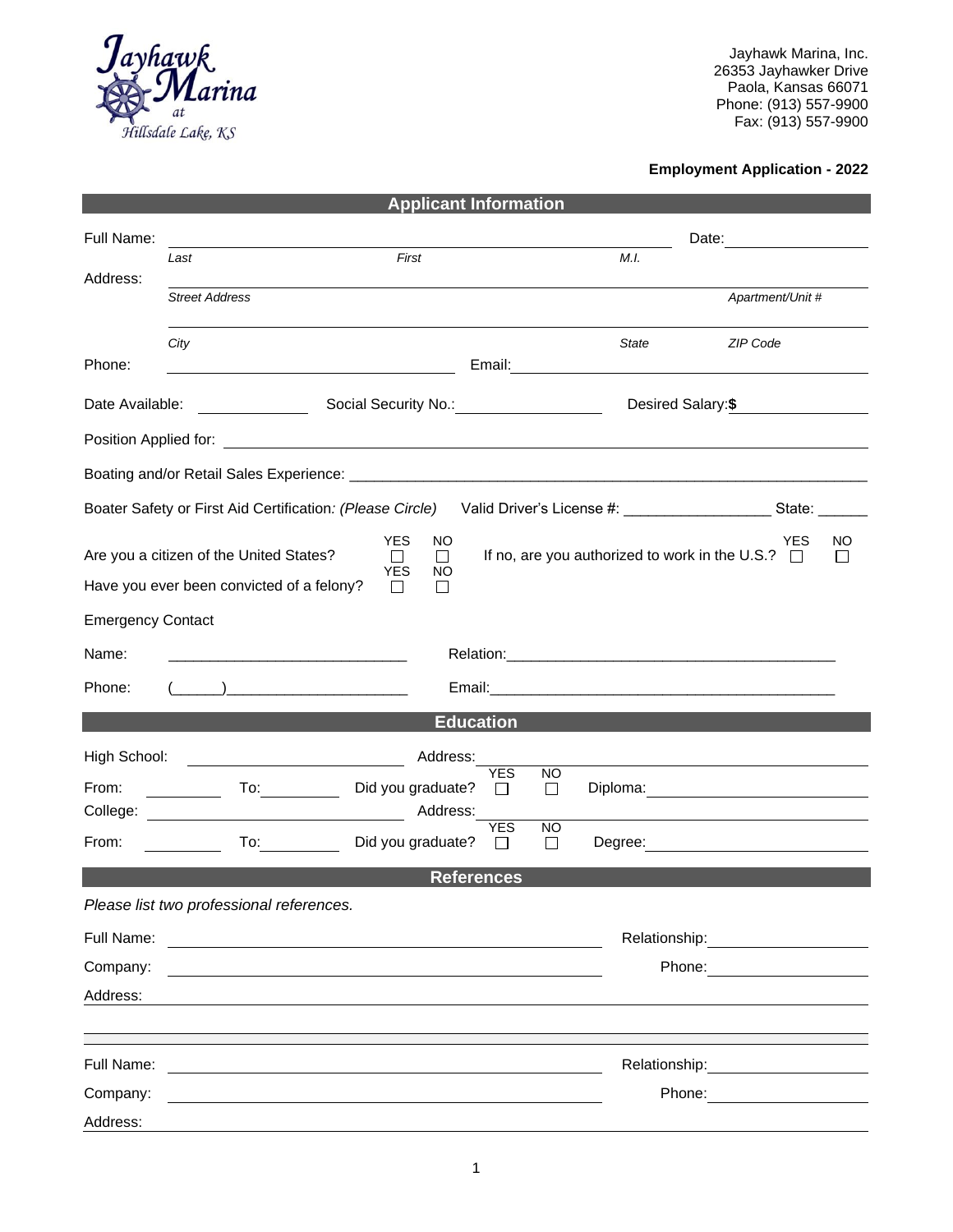

Jayhawk Marina, Inc. 26353 Jayhawker Drive Paola, Kansas 66071 Phone: (913) 557-9900 Fax: (913) 557-9900

## **Employment Application - 2022**

| <b>Applicant Information</b>                                                                                                                                                                                                                                                                                                                          |                                                                                                                                                                                                                                      |                               |                |                |               |                                                                                                                                                                                                                                |  |
|-------------------------------------------------------------------------------------------------------------------------------------------------------------------------------------------------------------------------------------------------------------------------------------------------------------------------------------------------------|--------------------------------------------------------------------------------------------------------------------------------------------------------------------------------------------------------------------------------------|-------------------------------|----------------|----------------|---------------|--------------------------------------------------------------------------------------------------------------------------------------------------------------------------------------------------------------------------------|--|
| Full Name:                                                                                                                                                                                                                                                                                                                                            |                                                                                                                                                                                                                                      |                               |                |                |               |                                                                                                                                                                                                                                |  |
| Address:                                                                                                                                                                                                                                                                                                                                              | Last                                                                                                                                                                                                                                 | First                         |                |                | M.I.          |                                                                                                                                                                                                                                |  |
|                                                                                                                                                                                                                                                                                                                                                       | <b>Street Address</b>                                                                                                                                                                                                                |                               |                |                |               | Apartment/Unit #                                                                                                                                                                                                               |  |
|                                                                                                                                                                                                                                                                                                                                                       | City                                                                                                                                                                                                                                 |                               |                |                | <b>State</b>  | <b>ZIP Code</b>                                                                                                                                                                                                                |  |
| Phone:                                                                                                                                                                                                                                                                                                                                                | <u> 1989 - Johann Barnett, fransk politik (</u>                                                                                                                                                                                      |                               |                |                |               |                                                                                                                                                                                                                                |  |
| Date Available:                                                                                                                                                                                                                                                                                                                                       | <u> Alban Maria (</u>                                                                                                                                                                                                                | Social Security No.: 1997     |                |                |               | Desired Salary:\$                                                                                                                                                                                                              |  |
|                                                                                                                                                                                                                                                                                                                                                       |                                                                                                                                                                                                                                      |                               |                |                |               |                                                                                                                                                                                                                                |  |
|                                                                                                                                                                                                                                                                                                                                                       |                                                                                                                                                                                                                                      |                               |                |                |               |                                                                                                                                                                                                                                |  |
| Boater Safety or First Aid Certification: (Please Circle)                                                                                                                                                                                                                                                                                             |                                                                                                                                                                                                                                      |                               |                |                |               |                                                                                                                                                                                                                                |  |
|                                                                                                                                                                                                                                                                                                                                                       |                                                                                                                                                                                                                                      | <b>YES</b><br>NO              |                |                |               | YES<br>NO                                                                                                                                                                                                                      |  |
| If no, are you authorized to work in the U.S.? $\Box$<br>Are you a citizen of the United States?<br>П<br>П<br><b>YES</b><br>ΝO<br>Have you ever been convicted of a felony?<br>$\mathsf{L}$<br>$\perp$                                                                                                                                                |                                                                                                                                                                                                                                      |                               |                |                |               |                                                                                                                                                                                                                                |  |
| <b>Emergency Contact</b>                                                                                                                                                                                                                                                                                                                              |                                                                                                                                                                                                                                      |                               |                |                |               |                                                                                                                                                                                                                                |  |
| Name:                                                                                                                                                                                                                                                                                                                                                 |                                                                                                                                                                                                                                      |                               |                |                |               |                                                                                                                                                                                                                                |  |
| Phone:                                                                                                                                                                                                                                                                                                                                                |                                                                                                                                                                                                                                      |                               |                |                |               |                                                                                                                                                                                                                                |  |
| $\begin{bmatrix} 1 & 0 & 0 \\ 0 & 1 & 0 \\ 0 & 0 & 0 \\ 0 & 0 & 0 \\ 0 & 0 & 0 \\ 0 & 0 & 0 \\ 0 & 0 & 0 \\ 0 & 0 & 0 \\ 0 & 0 & 0 \\ 0 & 0 & 0 \\ 0 & 0 & 0 \\ 0 & 0 & 0 \\ 0 & 0 & 0 \\ 0 & 0 & 0 & 0 \\ 0 & 0 & 0 & 0 \\ 0 & 0 & 0 & 0 \\ 0 & 0 & 0 & 0 & 0 \\ 0 & 0 & 0 & 0 & 0 \\ 0 & 0 & 0 & 0 & 0 \\ 0 & 0 & 0 & 0 & 0 & $<br><b>Education</b> |                                                                                                                                                                                                                                      |                               |                |                |               |                                                                                                                                                                                                                                |  |
|                                                                                                                                                                                                                                                                                                                                                       |                                                                                                                                                                                                                                      |                               |                |                |               |                                                                                                                                                                                                                                |  |
| High School:<br>From:                                                                                                                                                                                                                                                                                                                                 | <u>and the contract of the contract of the contract of the contract of the contract of the contract of the contract of the contract of the contract of the contract of the contract of the contract of the contract of the contr</u> | Address:<br>Did you graduate? | YES<br>$\perp$ | <b>NO</b><br>□ |               |                                                                                                                                                                                                                                |  |
|                                                                                                                                                                                                                                                                                                                                                       |                                                                                                                                                                                                                                      | Address:                      |                |                |               | Diploma: <u>____________________________</u>                                                                                                                                                                                   |  |
| From:                                                                                                                                                                                                                                                                                                                                                 | $\overline{a}$ To: $\overline{a}$                                                                                                                                                                                                    | Did you graduate?             | YES            | <b>NO</b><br>□ |               | Degree: <u>www.community.community.community.community.community.community.com</u>                                                                                                                                             |  |
| <b>References</b>                                                                                                                                                                                                                                                                                                                                     |                                                                                                                                                                                                                                      |                               |                |                |               |                                                                                                                                                                                                                                |  |
|                                                                                                                                                                                                                                                                                                                                                       | Please list two professional references.                                                                                                                                                                                             |                               |                |                |               |                                                                                                                                                                                                                                |  |
| Full Name:                                                                                                                                                                                                                                                                                                                                            | <u> 1989 - Jan Barbara Barat, manazar amerikan da</u>                                                                                                                                                                                |                               |                |                |               |                                                                                                                                                                                                                                |  |
| Company:                                                                                                                                                                                                                                                                                                                                              | <u> 1989 - Johann Stein, marwolaethau a bhann an t-Amhain ann an t-Amhain an t-Amhain an t-Amhain an t-Amhain an </u>                                                                                                                |                               |                |                |               | Phone: <u>______</u> ______                                                                                                                                                                                                    |  |
| Address:                                                                                                                                                                                                                                                                                                                                              |                                                                                                                                                                                                                                      |                               |                |                |               |                                                                                                                                                                                                                                |  |
|                                                                                                                                                                                                                                                                                                                                                       |                                                                                                                                                                                                                                      |                               |                |                |               |                                                                                                                                                                                                                                |  |
| Full Name:                                                                                                                                                                                                                                                                                                                                            |                                                                                                                                                                                                                                      |                               |                |                | Relationship: |                                                                                                                                                                                                                                |  |
| Company:                                                                                                                                                                                                                                                                                                                                              |                                                                                                                                                                                                                                      |                               |                |                |               | Phone: The Contract of The Contract of The Contract of The Contract of The Contract of The Contract of The Contract of The Contract of The Contract of The Contract of The Contract of The Contract of The Contract of The Con |  |
| Address:                                                                                                                                                                                                                                                                                                                                              |                                                                                                                                                                                                                                      |                               |                |                |               |                                                                                                                                                                                                                                |  |